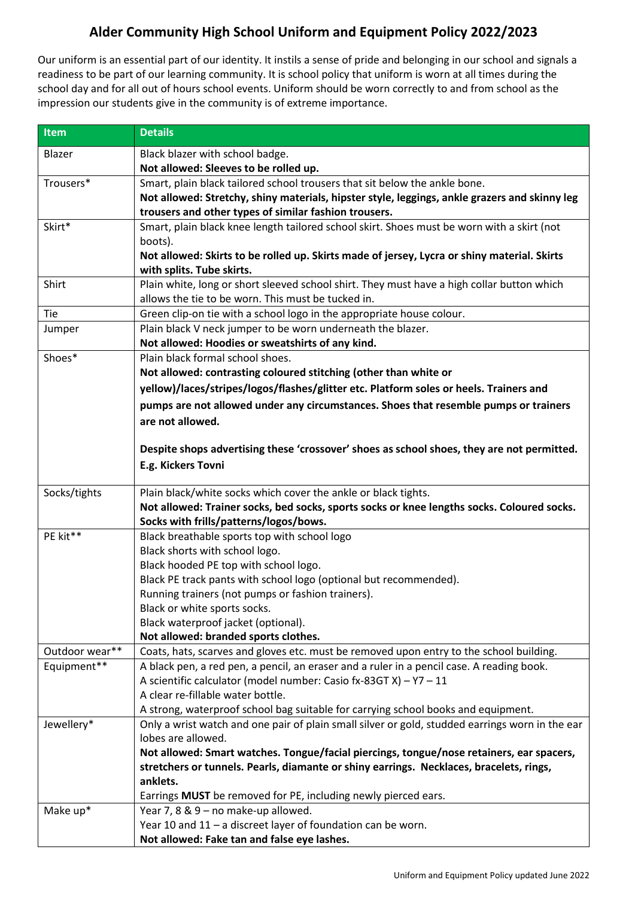## **Alder Community High School Uniform and Equipment Policy 2022/2023**

Our uniform is an essential part of our identity. It instils a sense of pride and belonging in our school and signals a readiness to be part of our learning community. It is school policy that uniform is worn at all times during the school day and for all out of hours school events. Uniform should be worn correctly to and from school as the impression our students give in the community is of extreme importance.

| <b>Item</b>    | <b>Details</b>                                                                                                                                                                      |
|----------------|-------------------------------------------------------------------------------------------------------------------------------------------------------------------------------------|
| Blazer         | Black blazer with school badge.                                                                                                                                                     |
|                | Not allowed: Sleeves to be rolled up.                                                                                                                                               |
| Trousers*      | Smart, plain black tailored school trousers that sit below the ankle bone.                                                                                                          |
|                | Not allowed: Stretchy, shiny materials, hipster style, leggings, ankle grazers and skinny leg                                                                                       |
|                | trousers and other types of similar fashion trousers.                                                                                                                               |
| Skirt*         | Smart, plain black knee length tailored school skirt. Shoes must be worn with a skirt (not                                                                                          |
|                | boots).                                                                                                                                                                             |
|                | Not allowed: Skirts to be rolled up. Skirts made of jersey, Lycra or shiny material. Skirts                                                                                         |
|                | with splits. Tube skirts.                                                                                                                                                           |
| Shirt          | Plain white, long or short sleeved school shirt. They must have a high collar button which                                                                                          |
|                | allows the tie to be worn. This must be tucked in.                                                                                                                                  |
| Tie            | Green clip-on tie with a school logo in the appropriate house colour.                                                                                                               |
| Jumper         | Plain black V neck jumper to be worn underneath the blazer.                                                                                                                         |
|                | Not allowed: Hoodies or sweatshirts of any kind.                                                                                                                                    |
| Shoes*         | Plain black formal school shoes.                                                                                                                                                    |
|                | Not allowed: contrasting coloured stitching (other than white or                                                                                                                    |
|                | yellow)/laces/stripes/logos/flashes/glitter etc. Platform soles or heels. Trainers and                                                                                              |
|                | pumps are not allowed under any circumstances. Shoes that resemble pumps or trainers                                                                                                |
|                | are not allowed.                                                                                                                                                                    |
|                | Despite shops advertising these 'crossover' shoes as school shoes, they are not permitted.                                                                                          |
|                | E.g. Kickers Tovni                                                                                                                                                                  |
|                |                                                                                                                                                                                     |
| Socks/tights   | Plain black/white socks which cover the ankle or black tights.                                                                                                                      |
|                | Not allowed: Trainer socks, bed socks, sports socks or knee lengths socks. Coloured socks.                                                                                          |
|                | Socks with frills/patterns/logos/bows.                                                                                                                                              |
| PE kit**       | Black breathable sports top with school logo                                                                                                                                        |
|                | Black shorts with school logo.                                                                                                                                                      |
|                | Black hooded PE top with school logo.                                                                                                                                               |
|                | Black PE track pants with school logo (optional but recommended).                                                                                                                   |
|                | Running trainers (not pumps or fashion trainers).                                                                                                                                   |
|                | Black or white sports socks.                                                                                                                                                        |
|                | Black waterproof jacket (optional).                                                                                                                                                 |
|                | Not allowed: branded sports clothes.                                                                                                                                                |
| Outdoor wear** | Coats, hats, scarves and gloves etc. must be removed upon entry to the school building.                                                                                             |
| Equipment**    | A black pen, a red pen, a pencil, an eraser and a ruler in a pencil case. A reading book.                                                                                           |
|                | A scientific calculator (model number: Casio fx-83GT X) - Y7 - 11                                                                                                                   |
|                | A clear re-fillable water bottle.                                                                                                                                                   |
|                | A strong, waterproof school bag suitable for carrying school books and equipment.                                                                                                   |
| Jewellery*     | Only a wrist watch and one pair of plain small silver or gold, studded earrings worn in the ear<br>lobes are allowed.                                                               |
|                |                                                                                                                                                                                     |
|                | Not allowed: Smart watches. Tongue/facial piercings, tongue/nose retainers, ear spacers,<br>stretchers or tunnels. Pearls, diamante or shiny earrings. Necklaces, bracelets, rings, |
|                | anklets.                                                                                                                                                                            |
|                | Earrings MUST be removed for PE, including newly pierced ears.                                                                                                                      |
| Make up*       | Year 7, 8 & 9 - no make-up allowed.                                                                                                                                                 |
|                | Year 10 and 11 - a discreet layer of foundation can be worn.                                                                                                                        |
|                | Not allowed: Fake tan and false eye lashes.                                                                                                                                         |